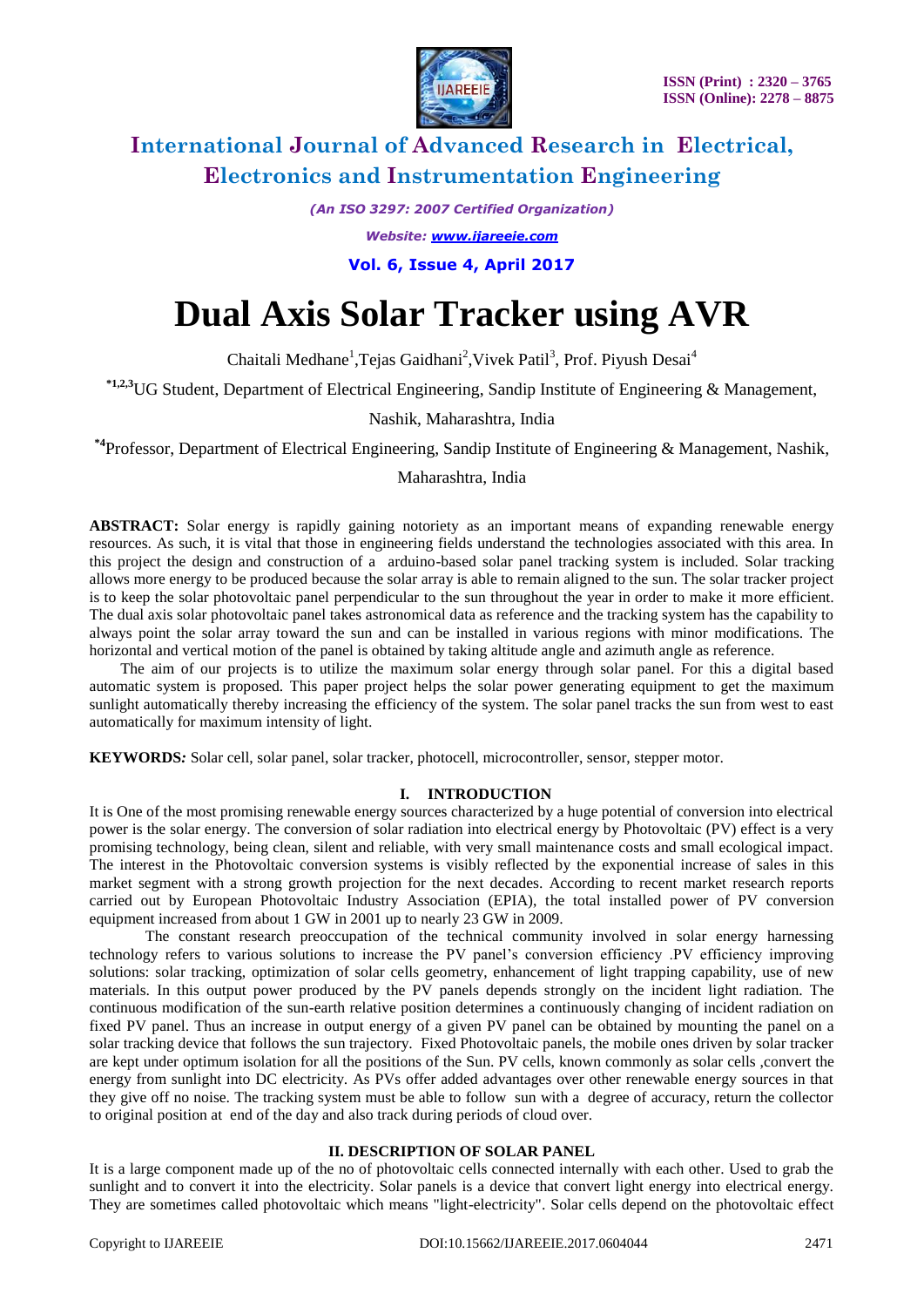

*(An ISO 3297: 2007 Certified Organization)*

*Website: [www.ijareeie.com](http://www.ijareeie.com/)*

**Vol. 6, Issue 4, April 2017**

# **Dual Axis Solar Tracker using AVR**

Chaitali Medhane<sup>1</sup>, Tejas Gaidhani<sup>2</sup>, Vivek Patil<sup>3</sup>, Prof. Piyush Desai<sup>4</sup>

**\*1,2,3**UG Student, Department of Electrical Engineering, Sandip Institute of Engineering & Management,

## Nashik, Maharashtra, India

**\*4**Professor, Department of Electrical Engineering, Sandip Institute of Engineering & Management, Nashik,

### Maharashtra, India

**ABSTRACT:** Solar energy is rapidly gaining notoriety as an important means of expanding renewable energy resources. As such, it is vital that those in engineering fields understand the technologies associated with this area. In this project the design and construction of a arduino-based solar panel tracking system is included. Solar tracking allows more energy to be produced because the solar array is able to remain aligned to the sun. The solar tracker project is to keep the solar photovoltaic panel perpendicular to the sun throughout the year in order to make it more efficient. The dual axis solar photovoltaic panel takes astronomical data as reference and the tracking system has the capability to always point the solar array toward the sun and can be installed in various regions with minor modifications. The horizontal and vertical motion of the panel is obtained by taking altitude angle and azimuth angle as reference.

 The aim of our projects is to utilize the maximum solar energy through solar panel. For this a digital based automatic system is proposed. This paper project helps the solar power generating equipment to get the maximum sunlight automatically thereby increasing the efficiency of the system. The solar panel tracks the sun from west to east automatically for maximum intensity of light.

**KEYWORDS***:* Solar cell, solar panel, solar tracker, photocell, microcontroller, sensor, stepper motor.

### **I. INTRODUCTION**

It is One of the most promising renewable energy sources characterized by a huge potential of conversion into electrical power is the solar energy. The conversion of solar radiation into electrical energy by Photovoltaic (PV) effect is a very promising technology, being clean, silent and reliable, with very small maintenance costs and small ecological impact. The interest in the Photovoltaic conversion systems is visibly reflected by the exponential increase of sales in this market segment with a strong growth projection for the next decades. According to recent market research reports carried out by European Photovoltaic Industry Association (EPIA), the total installed power of PV conversion equipment increased from about 1 GW in 2001 up to nearly 23 GW in 2009.

The constant research preoccupation of the technical community involved in solar energy harnessing technology refers to various solutions to increase the PV panel's conversion efficiency .PV efficiency improving solutions: solar tracking, optimization of solar cells geometry, enhancement of light trapping capability, use of new materials. In this output power produced by the PV panels depends strongly on the incident light radiation. The continuous modification of the sun-earth relative position determines a continuously changing of incident radiation on fixed PV panel. Thus an increase in output energy of a given PV panel can be obtained by mounting the panel on a solar tracking device that follows the sun trajectory. Fixed Photovoltaic panels, the mobile ones driven by solar tracker are kept under optimum isolation for all the positions of the Sun. PV cells, known commonly as solar cells ,convert the energy from sunlight into DC electricity. As PVs offer added advantages over other renewable energy sources in that they give off no noise. The tracking system must be able to follow sun with a degree of accuracy, return the collector to original position at end of the day and also track during periods of cloud over.

#### **II. DESCRIPTION OF SOLAR PANEL**

It is a large component made up of the no of photovoltaic cells connected internally with each other. Used to grab the sunlight and to convert it into the electricity. Solar panels is a device that convert light energy into electrical energy. They are sometimes called photovoltaic which means "light-electricity". Solar cells depend on the photovoltaic effect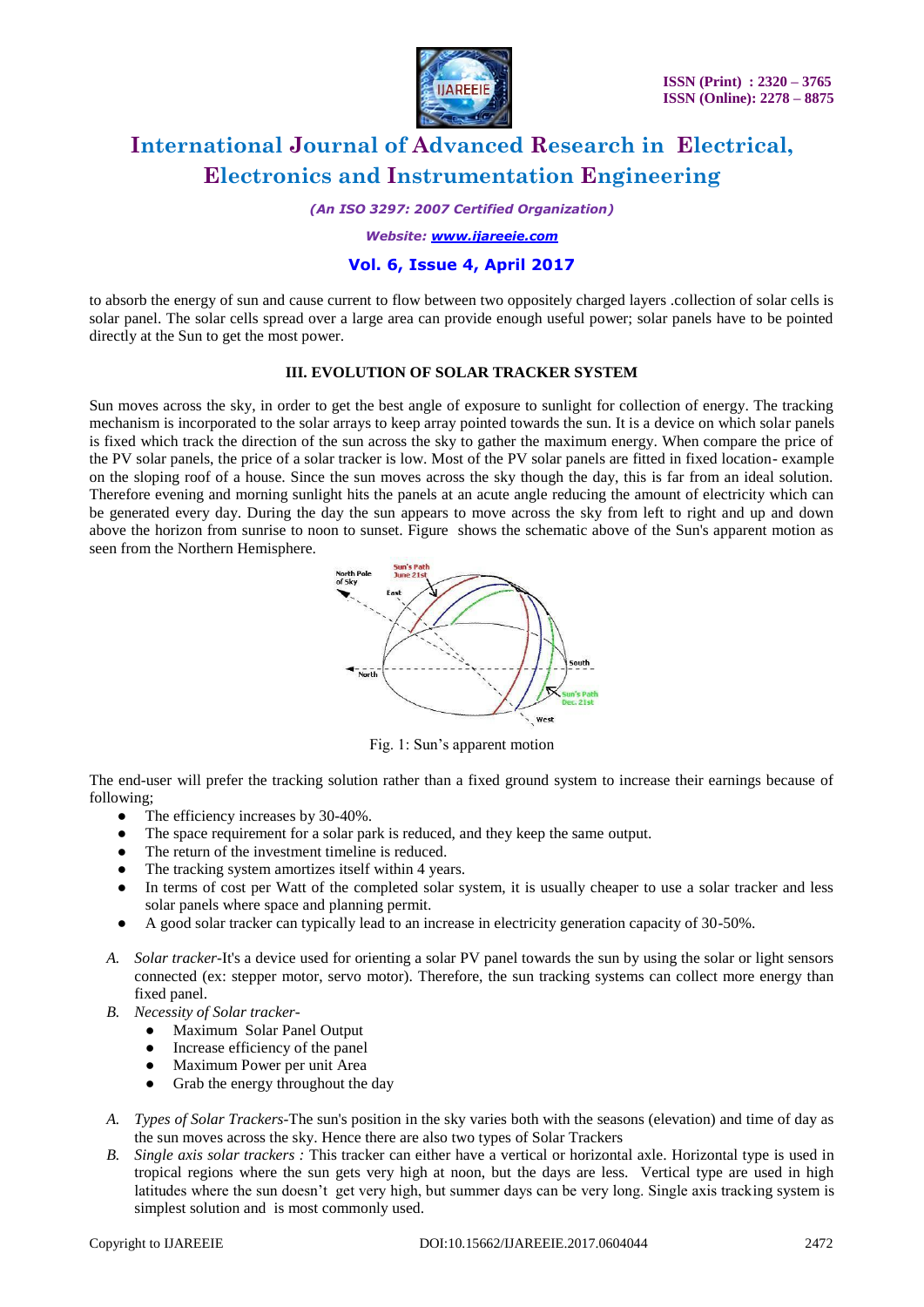

*(An ISO 3297: 2007 Certified Organization)*

*Website: [www.ijareeie.com](http://www.ijareeie.com/)*

# **Vol. 6, Issue 4, April 2017**

to absorb the energy of sun and cause current to flow between two oppositely charged layers .collection of solar cells is solar panel. The solar cells spread over a large area can provide enough useful power; solar panels have to be pointed directly at the Sun to get the most power.

### **III. EVOLUTION OF SOLAR TRACKER SYSTEM**

Sun moves across the sky, in order to get the best angle of exposure to sunlight for collection of energy. The tracking mechanism is incorporated to the solar arrays to keep array pointed towards the sun. It is a device on which solar panels is fixed which track the direction of the sun across the sky to gather the maximum energy. When compare the price of the PV solar panels, the price of a solar tracker is low. Most of the PV solar panels are fitted in fixed location- example on the sloping roof of a house. Since the sun moves across the sky though the day, this is far from an ideal solution. Therefore evening and morning sunlight hits the panels at an acute angle reducing the amount of electricity which can be generated every day. During the day the sun appears to move across the sky from left to right and up and down above the horizon from sunrise to noon to sunset. Figure shows the schematic above of the Sun's apparent motion as seen from the Northern Hemisphere.



Fig. 1: Sun's apparent motion

The end-user will prefer the tracking solution rather than a fixed ground system to increase their earnings because of following;

- The efficiency increases by 30-40%.
- The space requirement for a solar park is reduced, and they keep the same output.
- The return of the investment timeline is reduced.
- The tracking system amortizes itself within 4 years.
- In terms of cost per Watt of the completed solar system, it is usually cheaper to use a solar tracker and less solar panels where space and planning permit.
- A good solar tracker can typically lead to an increase in electricity generation capacity of 30-50%.
- *A. Solar tracker-*It's a device used for orienting a solar PV panel towards the sun by using the solar or light sensors connected (ex: stepper motor, servo motor). Therefore, the sun tracking systems can collect more energy than fixed panel.
- *B. Necessity of Solar tracker-*
	- Maximum Solar Panel Output
	- Increase efficiency of the panel
	- Maximum Power per unit Area
	- Grab the energy throughout the day
- *A. Types of Solar Trackers-*The sun's position in the sky varies both with the seasons (elevation) and time of day as the sun moves across the sky. Hence there are also two types of Solar Trackers
- *B. Single axis solar trackers :* This tracker can either have a vertical or horizontal axle. Horizontal type is used in tropical regions where the sun gets very high at noon, but the days are less. Vertical type are used in high latitudes where the sun doesn't get very high, but summer days can be very long. Single axis tracking system is simplest solution and is most commonly used.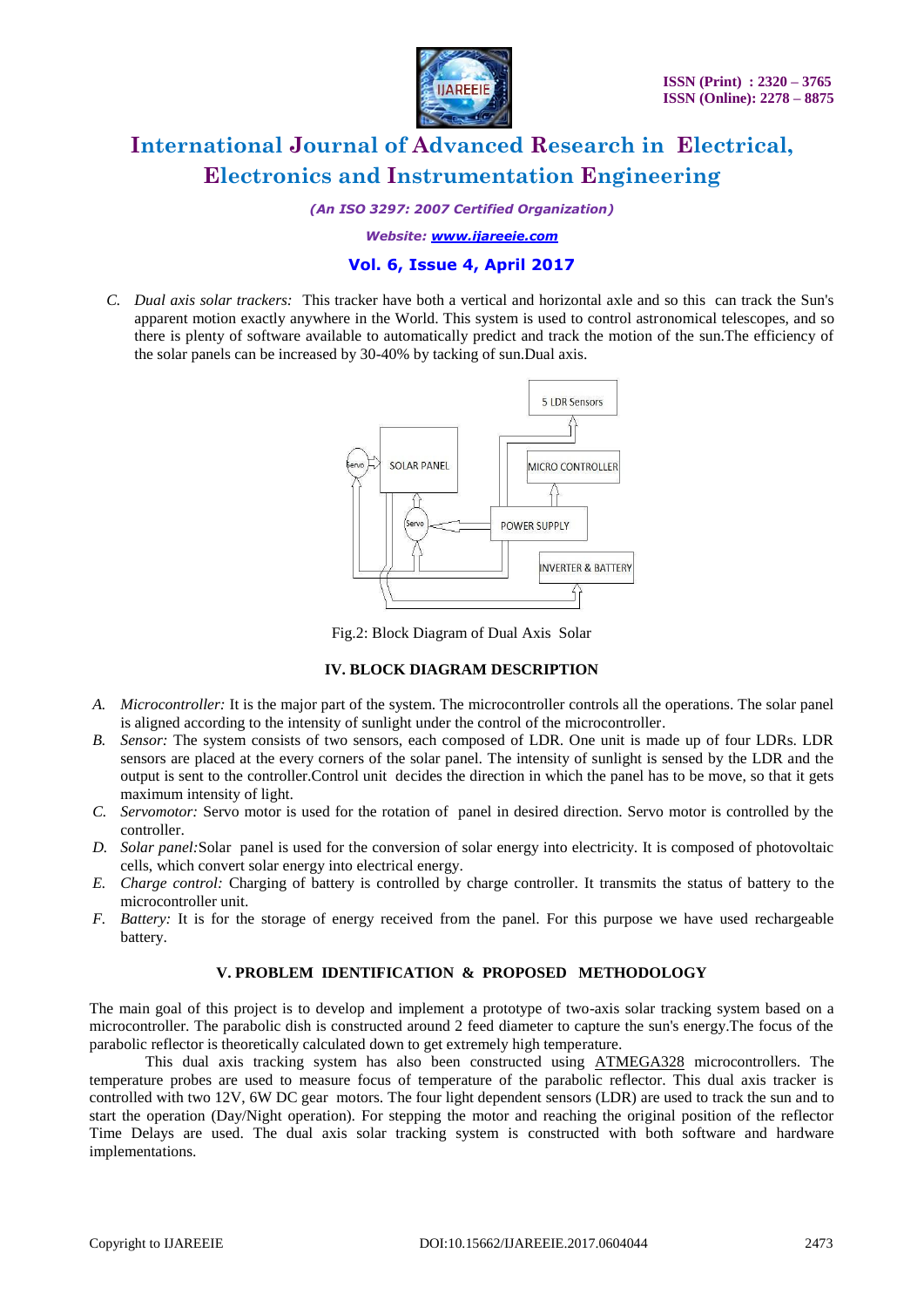

*(An ISO 3297: 2007 Certified Organization)*

*Website: [www.ijareeie.com](http://www.ijareeie.com/)*

# **Vol. 6, Issue 4, April 2017**

*C. Dual axis solar trackers:* This tracker have both a vertical and horizontal axle and so this can track the Sun's apparent motion exactly anywhere in the World. This system is used to control astronomical telescopes, and so there is plenty of software available to automatically predict and track the motion of the sun.The efficiency of the solar panels can be increased by 30-40% by tacking of sun.Dual axis.



Fig.2: Block Diagram of Dual Axis Solar

# **IV. BLOCK DIAGRAM DESCRIPTION**

- *A. Microcontroller:* It is the major part of the system. The microcontroller controls all the operations. The solar panel is aligned according to the intensity of sunlight under the control of the microcontroller.
- *B. Sensor:* The system consists of two sensors, each composed of LDR. One unit is made up of four LDRs. LDR sensors are placed at the every corners of the solar panel. The intensity of sunlight is sensed by the LDR and the output is sent to the controller.Control unit decides the direction in which the panel has to be move, so that it gets maximum intensity of light.
- *C. Servomotor:* Servo motor is used for the rotation of panel in desired direction. Servo motor is controlled by the controller.
- *D. Solar panel:*Solar panel is used for the conversion of solar energy into electricity. It is composed of photovoltaic cells, which convert solar energy into electrical energy.
- *E. Charge control:* Charging of battery is controlled by charge controller. It transmits the status of battery to the microcontroller unit.
- *F. Battery:* It is for the storage of energy received from the panel. For this purpose we have used rechargeable battery.

### **V. PROBLEM IDENTIFICATION & PROPOSED METHODOLOGY**

The main goal of this project is to develop and implement a prototype of two-axis solar tracking system based on a microcontroller. The parabolic dish is constructed around 2 feed diameter to capture the sun's energy.The focus of the parabolic reflector is theoretically calculated down to get extremely high temperature.

This dual axis tracking system has also been constructed using ATMEGA328 microcontrollers. The temperature probes are used to measure focus of temperature of the parabolic reflector. This dual axis tracker is controlled with two 12V, 6W DC gear motors. The four light dependent sensors (LDR) are used to track the sun and to start the operation (Day/Night operation). For stepping the motor and reaching the original position of the reflector Time Delays are used. The dual axis solar tracking system is constructed with both software and hardware implementations.